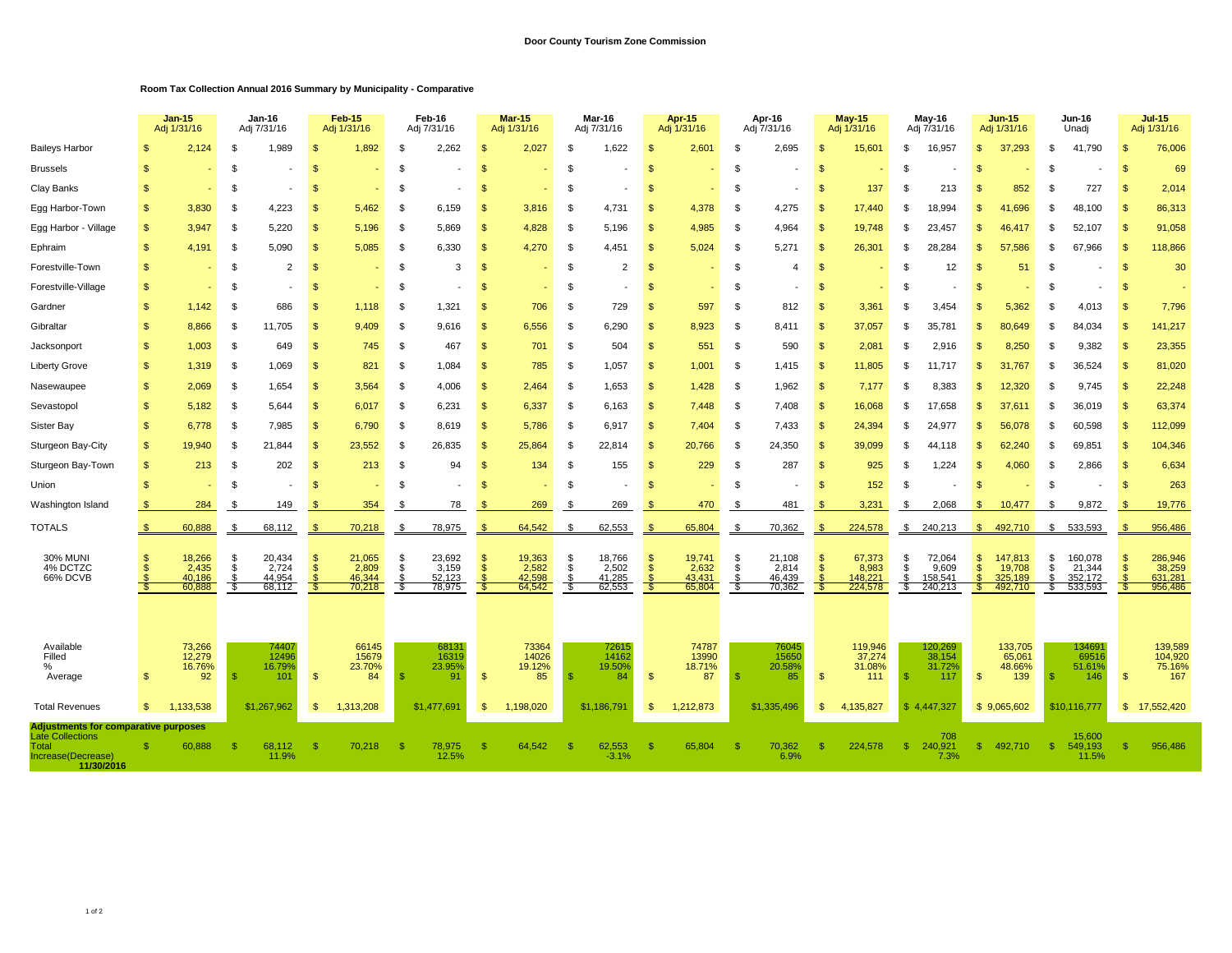## **Room Tax Collection Annual 2016 Summary by Municipality - Comparative**

|                                                                      |                              | <b>Jan-15</b><br>Adj 1/31/16        |                  | Jan-16<br>Adj 7/31/16               |                    | Feb-15<br>Adi 1/31/16               |                | Feb-16<br>Adj 7/31/16               |                     | <b>Mar-15</b><br>Adj 1/31/16        |                | Mar-16<br>Adj 7/31/16               |                     | <b>Apr-15</b><br>Adj 1/31/16        |                | Apr-16<br>Adj 7/31/16               |                      | <b>May-15</b><br>Adj 1/31/16          |                | May-16<br>Adj 7/31/16                 |                                | <b>Jun-15</b><br>Adj 1/31/16            |          | Jun-16<br>Unadj                         |                | $Jul-15$<br>Adj 1/31/16                 |
|----------------------------------------------------------------------|------------------------------|-------------------------------------|------------------|-------------------------------------|--------------------|-------------------------------------|----------------|-------------------------------------|---------------------|-------------------------------------|----------------|-------------------------------------|---------------------|-------------------------------------|----------------|-------------------------------------|----------------------|---------------------------------------|----------------|---------------------------------------|--------------------------------|-----------------------------------------|----------|-----------------------------------------|----------------|-----------------------------------------|
| <b>Baileys Harbor</b>                                                |                              | 2.124                               | \$               | 1.989                               | \$                 | 1.892                               | \$.            | 2.262                               |                     | 2,027                               | \$.            | 1.622                               | <b>S</b>            | 2.601                               | -S             | 2.695                               | \$.                  | 15,601                                | \$.            | 16.957                                | $\mathcal{S}$                  | 37.293                                  | - \$     | 41.790                                  | $\mathcal{S}$  | 76,006                                  |
| <b>Brussels</b>                                                      | \$.                          |                                     | \$               |                                     | S                  |                                     | \$             |                                     |                     |                                     | \$.            |                                     | <b>S</b>            |                                     | $\mathfrak{F}$ |                                     | \$                   |                                       | S              |                                       | \$                             |                                         |          |                                         | $\mathcal{F}$  | 69                                      |
| Clay Banks                                                           | \$                           |                                     | \$               |                                     | S                  |                                     | \$             |                                     | S                   |                                     | -S             |                                     | <b>S</b>            |                                     | -S             |                                     | \$                   | 137                                   | S              | 213                                   | S                              | 852                                     | - \$     | 727                                     | $\mathcal{S}$  | 2,014                                   |
| Egg Harbor-Town                                                      | $\mathfrak{L}$               | 3,830                               | \$               | 4,223                               | $\mathbf{s}$       | 5,462                               | \$             | 6,159                               | $\mathbf{s}$        | 3,816                               | $\mathfrak{L}$ | 4,731                               | $\mathbf{s}$        | 4,378                               | \$             | 4,275                               | $\mathbf{\$}$        | 17,440                                | \$             | 18.994                                | $\mathfrak{L}$                 | 41.696                                  | . ድ      | 48,100                                  | $\mathbf{s}$   | 86,313                                  |
| Egg Harbor - Village                                                 | \$                           | 3,947                               | \$               | 5,220                               | \$                 | 5,196                               | \$             | 5,869                               | \$                  | 4,828                               |                | 5,196                               | -\$                 | 4,985                               | -\$            | 4,964                               | \$.                  | 19,748                                | \$             | 23,457                                | \$.                            | 46,417                                  |          | 52,107                                  | $\mathfrak{L}$ | 91,058                                  |
| Ephraim                                                              | $\mathfrak{L}$               | 4,191                               | -S               | 5,090                               | $\mathbf{s}$       | 5,085                               | \$             | 6,330                               | -\$                 | 4,270                               | -\$            | 4,451                               | $\mathfrak{s}$      | 5,024                               | - \$           | 5,271                               | -\$                  | 26,30'                                | \$             | 28.284                                | \$                             | 57.586                                  |          | 67,966                                  | <b>S</b>       | 118,866                                 |
| Forestville-Town                                                     | $\mathbf{s}$                 |                                     | \$               | $\overline{2}$                      | $\mathbf{s}$       |                                     | \$             | 3                                   | \$                  |                                     | -\$            | $\overline{2}$                      | $\mathfrak{s}$      |                                     | $\mathfrak{L}$ | 4                                   | $\mathbf{\$}$        |                                       | \$             | 12                                    | \$                             | 51                                      |          |                                         | <b>S</b>       | 30                                      |
| Forestville-Village                                                  | $\mathfrak{L}$               |                                     | \$               |                                     | $\mathbf{s}$       |                                     | \$             |                                     | \$.                 |                                     | -\$            |                                     | $\mathbf{s}$        |                                     | $\mathfrak{L}$ |                                     | $\mathfrak{L}$       |                                       | \$             |                                       | $\mathfrak{s}$                 |                                         | . ድ      |                                         | <b>S</b>       |                                         |
| Gardner                                                              | $\mathbf{s}$                 | 1,142                               | \$               | 686                                 | \$                 | 1.118                               | \$.            | 1,321                               | £.                  | 706                                 | -\$            | 729                                 | $\mathbf{s}$        | 597                                 | $\mathfrak{L}$ | 812                                 | $\mathbf{\hat{s}}$   | 3,361                                 | \$             | 3,454                                 | \$.                            | 5.362                                   |          | 4,013                                   |                | 7,796                                   |
| Gibraltar                                                            | \$                           | 8.866                               | \$               | 11.705                              | $\mathbf{s}$       | 9.409                               | \$             | 9.616                               | $\mathbf{s}$        | 6.556                               |                | 6.290                               | $\mathbf{s}$        | 8,923                               | \$             | 8.411                               | \$                   | 37,057                                | \$             | 35.781                                | \$                             | 80.649                                  |          | 84,034                                  | \$             | 141,217                                 |
| Jacksonport                                                          | $\mathfrak{L}$               | 1,003                               | -S               | 649                                 | -\$                | 745                                 | \$             | 467                                 | $\mathbf{s}$        | 701                                 | -\$            | 504                                 | $\mathfrak{s}$      | 551                                 | \$             | 590                                 | $\mathfrak{s}$       | 2,081                                 | \$             | 2,916                                 | \$                             | 8,250                                   | - \$     | 9,382                                   | $\mathfrak{s}$ | 23,355                                  |
| <b>Liberty Grove</b>                                                 | $\mathfrak{F}$               | 1,319                               | -S               | 1,069                               | - \$               | 821                                 | \$             | 1,084                               | $\mathbb{S}$        | 785                                 | -S             | 1,057                               | $\mathbb{S}$        | 1,001                               | \$             | 1,415                               | $\mathbf{s}$         | 11,805                                | S              | 11.717                                | <b>S</b>                       | 31,767                                  | -S       | 36,524                                  | $\mathbb{S}$   | 81,020                                  |
| Nasewaupee                                                           | \$                           | 2,069                               | S                | 1,654                               | <b>S</b>           | 3,564                               | \$             | 4,006                               | - \$                | 2,464                               | - \$           | 1,653                               | $\mathbb{S}$        | 1,428                               | \$             | 1,962                               | \$                   | 7,177                                 | £.             | 8,383                                 | S                              | 12,320                                  |          | 9,745                                   | <b>S</b>       | 22,248                                  |
| Sevastopol                                                           | $\mathfrak{F}$               | 5,182                               | -S               | 5,644                               | \$                 | 6,017                               | \$             | 6,231                               | - \$                | 6,337                               | - \$           | 6,163                               | $\mathbb{S}$        | 7,448                               | - \$           | 7,408                               | -\$                  | 16,068                                | £.             | 17,658                                | $\mathfrak{L}$                 | 37.611                                  | - 96     | 36,019                                  | $\mathcal{S}$  | 63,374                                  |
| Sister Bay                                                           | \$                           | 6,778                               | - \$             | 7,985                               | <b>S</b>           | 6,790                               | \$             | 8,619                               | - \$                | 5,786                               | - \$           | 6,917                               | $\mathbb{S}$        | 7,404                               | - \$           | 7,433                               | \$                   | 24,394                                | S              | 24.977                                | -S                             | 56,078                                  | - 96     | 60,598                                  | $\mathbb{S}$   | 112,099                                 |
| Sturgeon Bay-City                                                    | $\mathbf{\$}$                | 19,940                              | S                | 21.844                              | <b>S</b>           | 23,552                              | \$.            | 26,835                              | - \$                | 25,864                              | - \$           | 22,814                              | - \$                | 20.766                              | - \$           | 24,350                              | \$                   | 39,099                                | £.             | 44.118                                | $\mathfrak{L}$                 | 62,240                                  | -96      | 69,851                                  | $\mathbb{S}$   | 104,346                                 |
| Sturgeon Bay-Town                                                    | $\mathfrak{s}$               | 213                                 | \$               | 202                                 | -\$                | 213                                 | \$             | 94                                  | -\$                 | 134                                 | -\$            | 155                                 | $\mathfrak{s}$      | 229                                 | \$             | 287                                 | $\mathbf{\$}$        | 925                                   | \$             | 1,224                                 | \$                             | 4,060                                   |          | 2,866                                   | \$             | 6,634                                   |
| Union                                                                | $\mathbf{\$}$                |                                     | \$               |                                     | \$                 |                                     | \$             |                                     | \$                  |                                     | - \$           |                                     | $\mathbf{s}$        |                                     | -\$            |                                     | \$.                  | 152                                   | \$             |                                       | $\mathfrak{s}$                 |                                         | - \$     |                                         | <b>S</b>       | 263                                     |
| Washington Island                                                    | \$                           | 284                                 | \$               | 149                                 |                    | 354                                 | -\$            | 78                                  | £                   | 269                                 | -\$            | 269                                 |                     | 470                                 | - \$           | 481                                 | -S                   | 3,231                                 | £.             | 2,068                                 | \$                             | 10,477                                  |          | 9,872                                   |                | 19,776                                  |
| <b>TOTALS</b>                                                        | -\$                          | 60,888                              | \$               | 68,112                              |                    | 70,218                              | \$.            | 78,975                              | $\mathbf{R}$        | 64,542                              | . ጽ            | 62,553                              |                     | 65,804                              | \$             | 70,362                              | <b>R</b>             | 224,578                               | \$             | 240,213                               | $\mathbf{\hat{S}}$             | 492,710                                 |          | \$533,593                               |                | 956,486                                 |
| <b>30% MUNI</b><br>4% DCTZC<br>66% DCVB                              | \$<br>\$.                    | 18,266<br>2,435<br>40.186<br>60,888 | \$<br>\$<br>- \$ | 20,434<br>2,724<br>44,954<br>68,112 | \$<br>$\mathbf{s}$ | 21,065<br>2,809<br>46,344<br>70,218 | \$<br>\$<br>\$ | 23,692<br>3,159<br>52.123<br>78,975 | -\$<br>$\mathbf{s}$ | 19,363<br>2,582<br>42,598<br>64,542 | -\$<br>\$      | 18,766<br>2,502<br>41,285<br>62,553 | \$<br>$\mathbf{\$}$ | 19,741<br>2,632<br>43,431<br>65,804 | \$<br>\$       | 21,108<br>2,814<br>46,439<br>70,362 | \$<br>$\mathfrak{s}$ | 67,373<br>8,983<br>148,221<br>224,578 | \$<br>\$<br>\$ | 72,064<br>9,609<br>158.541<br>240,213 | $\mathsf{\$}$<br>$\mathbf{\$}$ | 147,813<br>19,708<br>325.189<br>492,710 | \$<br>\$ | 160,078<br>21,344<br>352,172<br>533,593 | \$             | 286,946<br>38,259<br>631,281<br>956,486 |
| Available<br>Filled                                                  |                              | 73,266<br>12,279                    |                  | 74407<br>12496                      |                    | 66145<br>15679                      |                | 68131<br>16319                      |                     | 73364<br>14026                      |                | 72615<br>14162                      |                     | 74787<br>13990                      |                | 76045<br>15650                      |                      | 119,946<br>37,274                     |                | 120,269<br>38,154                     |                                | 133,705<br>65,061                       |          | 13469<br>69516                          |                | 139,589<br>104,920                      |
| %<br>Average                                                         | $\mathbf{s}$<br>$\mathbf{s}$ | 16.76%<br>92<br>1.133.538           | - \$             | 16.79%<br>101                       | - \$               | 23.70%<br>84                        | Я              | 23.95%<br>91                        | $\mathbb{S}$        | 19.12%<br>85                        |                | 19.50%<br>84                        | $\mathbf{s}$        | 18.71%<br>87                        | - \$           | 20.58%<br>85                        | $\mathbb{S}$         | 31.08%<br>111                         | \$.            | 31.72%<br>117<br>\$4,447,327          | $\mathbb{S}$                   | 48.66%<br>139                           |          | 51.61%<br>146                           | $\mathcal{F}$  | 75.16%<br>167<br>\$17,552,420           |
| <b>Total Revenues</b><br><b>Adjustments for comparative purposes</b> |                              |                                     |                  | \$1,267,962                         | <b>S</b>           | 1,313,208                           |                | \$1,477,691                         | $\mathbb{S}$        | 1,198,020                           |                | \$1,186,791                         | $\mathbb{S}$        | 1,212,873                           |                | \$1,335,496                         | $\mathbb{S}$         | 4,135,827                             |                |                                       |                                | \$9,065,602                             |          | \$10,116,777                            |                |                                         |
| <b>Late Collections</b><br>Total<br>Increase(Decrease)<br>11/30/2016 |                              | 60,888                              | -S               | 68,112<br>11.9%                     | S                  | 70,218                              | -S             | 78,975<br>12.5%                     |                     | 64,542                              |                | 62,553<br>$-3.1%$                   | -SS                 | 65,804                              | -\$            | 70,362<br>6.9%                      |                      | 224,578                               | \$             | 708<br>240,921<br>7.3%                | \$                             | 492,710                                 | -\$      | 15,600<br>549,193<br>11.5%              |                | 956,486                                 |